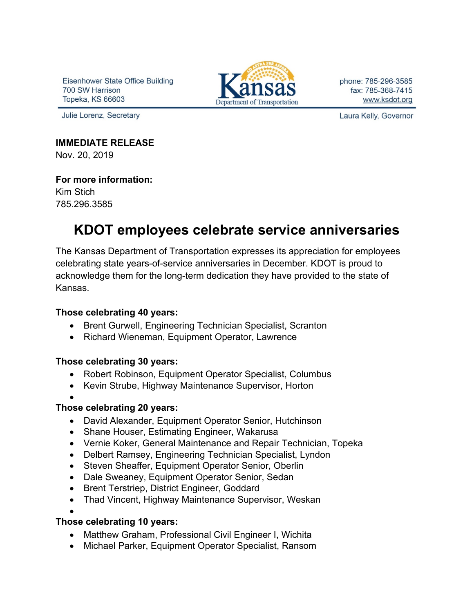Eisenhower State Office Building 700 SW Harrison Topeka, KS 66603

Julie Lorenz, Secretary



phone: 785-296-3585 fax: 785-368-7415 www.ksdot.org

Laura Kelly, Governor

#### **IMMEDIATE RELEASE**

Nov. 20, 2019

### **For more information:**

Kim Stich 785.296.3585

# **KDOT employees celebrate service anniversaries**

The Kansas Department of Transportation expresses its appreciation for employees celebrating state years-of-service anniversaries in December. KDOT is proud to acknowledge them for the long-term dedication they have provided to the state of Kansas.

#### **Those celebrating 40 years:**

- Brent Gurwell, Engineering Technician Specialist, Scranton
- Richard Wieneman, Equipment Operator, Lawrence

# **Those celebrating 30 years:**

- Robert Robinson, Equipment Operator Specialist, Columbus
- Kevin Strube, Highway Maintenance Supervisor, Horton
- •

# **Those celebrating 20 years:**

- David Alexander, Equipment Operator Senior, Hutchinson
- Shane Houser, Estimating Engineer, Wakarusa
- Vernie Koker, General Maintenance and Repair Technician, Topeka
- Delbert Ramsey, Engineering Technician Specialist, Lyndon
- Steven Sheaffer, Equipment Operator Senior, Oberlin
- Dale Sweaney, Equipment Operator Senior, Sedan
- Brent Terstriep, District Engineer, Goddard
- Thad Vincent, Highway Maintenance Supervisor, Weskan

#### • **Those celebrating 10 years:**

- Matthew Graham, Professional Civil Engineer I, Wichita
- Michael Parker, Equipment Operator Specialist, Ransom